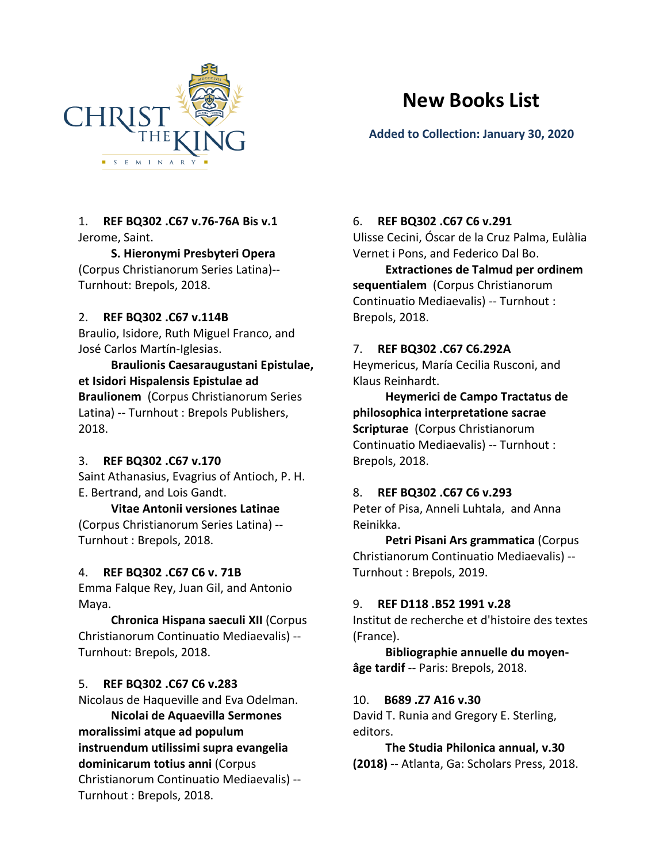

# **New Books List**

# **Added to Collection: January 30, 2020**

# 1. **REF BQ302 .C67 v.76-76A Bis v.1** Jerome, Saint.

# **S. Hieronymi Presbyteri Opera**

(Corpus Christianorum Series Latina)-- Turnhout: Brepols, 2018.

# 2. **REF BQ302 .C67 v.114B**

Braulio, Isidore, Ruth Miguel Franco, and José Carlos Martín-Iglesias.

**Braulionis Caesaraugustani Epistulae, et Isidori Hispalensis Epistulae ad Braulionem** (Corpus Christianorum Series Latina) -- Turnhout : Brepols Publishers, 2018.

# 3. **REF BQ302 .C67 v.170**

Saint Athanasius, Evagrius of Antioch, P. H. E. Bertrand, and Lois Gandt.

# **Vitae Antonii versiones Latinae**

(Corpus Christianorum Series Latina) -- Turnhout : Brepols, 2018.

# 4. **REF BQ302 .C67 C6 v. 71B**

Emma Falque Rey, Juan Gil, and Antonio Maya.

**Chronica Hispana saeculi XII** (Corpus Christianorum Continuatio Mediaevalis) -- Turnhout: Brepols, 2018.

# 5. **REF BQ302 .C67 C6 v.283**

Nicolaus de Haqueville and Eva Odelman.

**Nicolai de Aquaevilla Sermones moralissimi atque ad populum instruendum utilissimi supra evangelia dominicarum totius anni** (Corpus Christianorum Continuatio Mediaevalis) -- Turnhout : Brepols, 2018.

# 6. **REF BQ302 .C67 C6 v.291**

Ulisse Cecini, Óscar de la Cruz Palma, Eulàlia Vernet i Pons, and Federico Dal Bo.

**Extractiones de Talmud per ordinem sequentialem** (Corpus Christianorum Continuatio Mediaevalis) -- Turnhout : Brepols, 2018.

# 7. **REF BQ302 .C67 C6.292A**

Heymericus, María Cecilia Rusconi, and Klaus Reinhardt.

**Heymerici de Campo Tractatus de philosophica interpretatione sacrae Scripturae** (Corpus Christianorum Continuatio Mediaevalis) -- Turnhout : Brepols, 2018.

# 8. **REF BQ302 .C67 C6 v.293**

Peter of Pisa, Anneli Luhtala, and Anna Reinikka.

**Petri Pisani Ars grammatica** (Corpus Christianorum Continuatio Mediaevalis) -- Turnhout : Brepols, 2019.

# 9. **REF D118 .B52 1991 v.28**

Institut de recherche et d'histoire des textes (France).

**Bibliographie annuelle du moyenâge tardif** -- Paris: Brepols, 2018.

# 10. **B689 .Z7 A16 v.30**

David T. Runia and Gregory E. Sterling, editors.

**The Studia Philonica annual, v.30 (2018)** -- Atlanta, Ga: Scholars Press, 2018.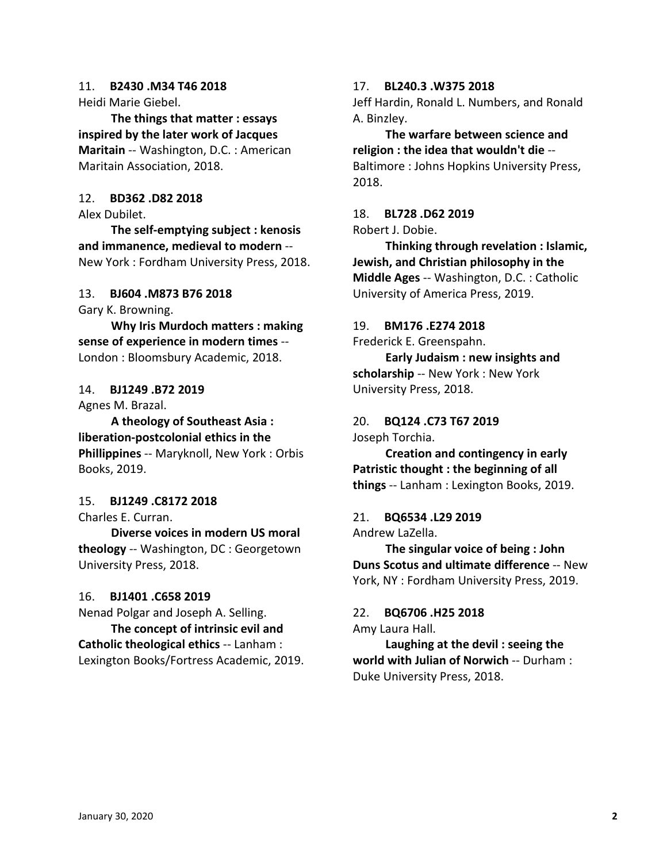# 11. **B2430 .M34 T46 2018**

Heidi Marie Giebel.

**The things that matter : essays inspired by the later work of Jacques Maritain** -- Washington, D.C. : American Maritain Association, 2018.

## 12. **BD362 .D82 2018**

Alex Dubilet.

**The self-emptying subject : kenosis and immanence, medieval to modern** -- New York : Fordham University Press, 2018.

## 13. **BJ604 .M873 B76 2018**

Gary K. Browning.

**Why Iris Murdoch matters : making sense of experience in modern times** -- London : Bloomsbury Academic, 2018.

## 14. **BJ1249 .B72 2019**

Agnes M. Brazal.

**A theology of Southeast Asia : liberation-postcolonial ethics in the Phillippines** -- Maryknoll, New York : Orbis Books, 2019.

## 15. **BJ1249 .C8172 2018**

Charles E. Curran.

**Diverse voices in modern US moral theology** -- Washington, DC : Georgetown University Press, 2018.

## 16. **BJ1401 .C658 2019**

Nenad Polgar and Joseph A. Selling. **The concept of intrinsic evil and** 

**Catholic theological ethics** -- Lanham : Lexington Books/Fortress Academic, 2019.

#### 17. **BL240.3 .W375 2018**

Jeff Hardin, Ronald L. Numbers, and Ronald A. Binzley.

**The warfare between science and religion : the idea that wouldn't die** -- Baltimore : Johns Hopkins University Press, 2018.

#### 18. **BL728 .D62 2019** Robert J. Dobie.

**Thinking through revelation : Islamic, Jewish, and Christian philosophy in the Middle Ages** -- Washington, D.C. : Catholic

University of America Press, 2019.

## 19. **BM176 .E274 2018**

Frederick E. Greenspahn.

**Early Judaism : new insights and scholarship** -- New York : New York University Press, 2018.

# 20. **BQ124 .C73 T67 2019** Joseph Torchia.

**Creation and contingency in early Patristic thought : the beginning of all things** -- Lanham : Lexington Books, 2019.

# 21. **BQ6534 .L29 2019**

Andrew LaZella.

**The singular voice of being : John Duns Scotus and ultimate difference** -- New York, NY : Fordham University Press, 2019.

## 22. **BQ6706 .H25 2018**

Amy Laura Hall.

**Laughing at the devil : seeing the world with Julian of Norwich** -- Durham : Duke University Press, 2018.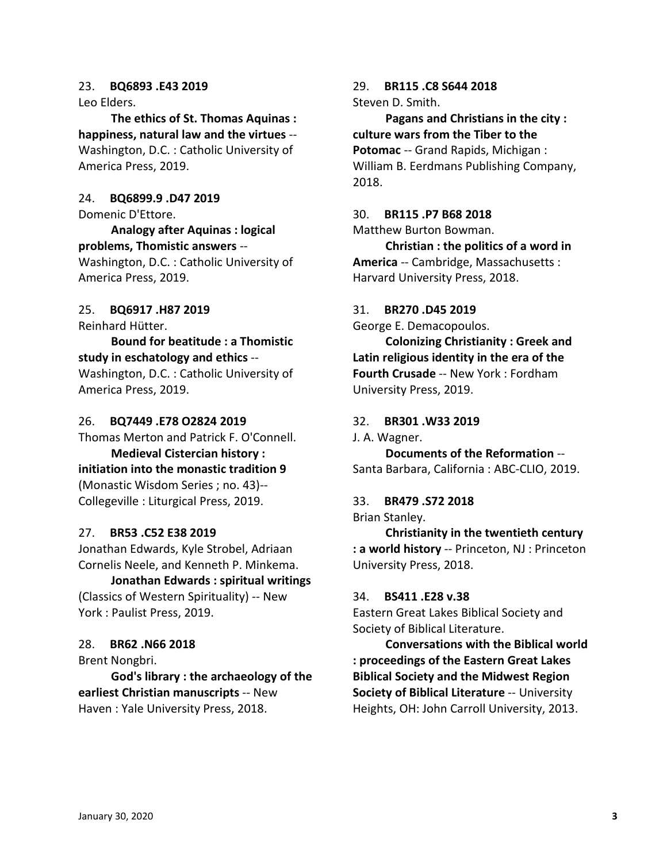### 23. **BQ6893 .E43 2019**

Leo Elders.

**The ethics of St. Thomas Aquinas : happiness, natural law and the virtues** -- Washington, D.C. : Catholic University of America Press, 2019.

24. **BQ6899.9 .D47 2019**

Domenic D'Ettore.

**Analogy after Aquinas : logical problems, Thomistic answers** -- Washington, D.C. : Catholic University of America Press, 2019.

# 25. **BQ6917 .H87 2019**

Reinhard Hütter.

**Bound for beatitude : a Thomistic study in eschatology and ethics** -- Washington, D.C. : Catholic University of America Press, 2019.

### 26. **BQ7449 .E78 O2824 2019**

Thomas Merton and Patrick F. O'Connell. **Medieval Cistercian history : initiation into the monastic tradition 9** (Monastic Wisdom Series ; no. 43)-- Collegeville : Liturgical Press, 2019.

## 27. **BR53 .C52 E38 2019**

Jonathan Edwards, Kyle Strobel, Adriaan Cornelis Neele, and Kenneth P. Minkema.

**Jonathan Edwards : spiritual writings** (Classics of Western Spirituality) -- New York : Paulist Press, 2019.

## 28. **BR62 .N66 2018**

Brent Nongbri.

**God's library : the archaeology of the earliest Christian manuscripts** -- New Haven : Yale University Press, 2018.

29. **BR115 .C8 S644 2018** Steven D. Smith.

**Pagans and Christians in the city : culture wars from the Tiber to the Potomac** -- Grand Rapids, Michigan : William B. Eerdmans Publishing Company, 2018.

#### 30. **BR115 .P7 B68 2018**

Matthew Burton Bowman.

**Christian : the politics of a word in America** -- Cambridge, Massachusetts : Harvard University Press, 2018.

### 31. **BR270 .D45 2019**

George E. Demacopoulos.

**Colonizing Christianity : Greek and Latin religious identity in the era of the Fourth Crusade** -- New York : Fordham University Press, 2019.

### 32. **BR301 .W33 2019**

J. A. Wagner.

**Documents of the Reformation** -- Santa Barbara, California : ABC-CLIO, 2019.

#### 33. **BR479 .S72 2018**

Brian Stanley.

**Christianity in the twentieth century : a world history** -- Princeton, NJ : Princeton University Press, 2018.

#### 34. **BS411 .E28 v.38**

Eastern Great Lakes Biblical Society and Society of Biblical Literature.

**Conversations with the Biblical world : proceedings of the Eastern Great Lakes Biblical Society and the Midwest Region Society of Biblical Literature** -- University Heights, OH: John Carroll University, 2013.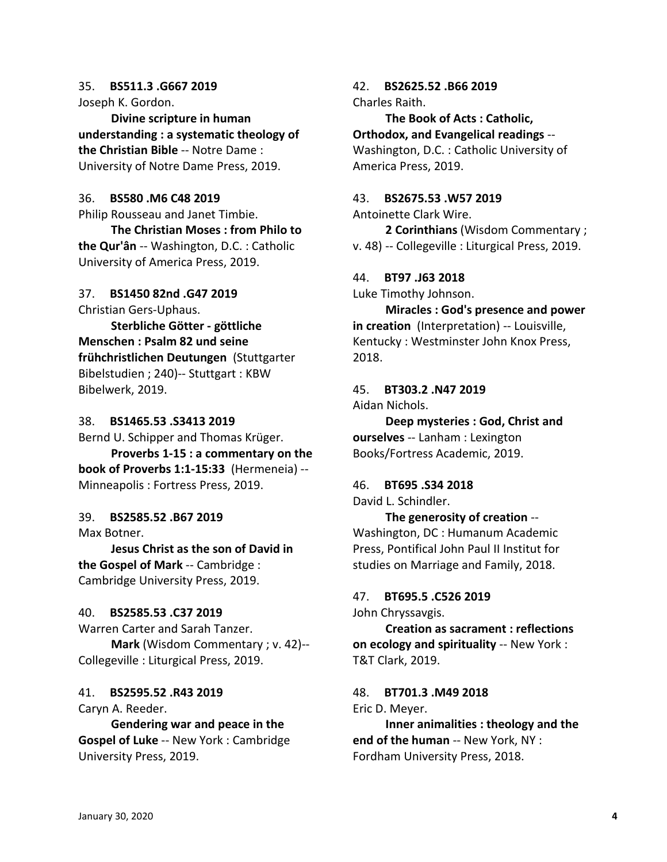# 35. **BS511.3 .G667 2019**

Joseph K. Gordon.

**Divine scripture in human understanding : a systematic theology of the Christian Bible** -- Notre Dame : University of Notre Dame Press, 2019.

### 36. **BS580 .M6 C48 2019**

Philip Rousseau and Janet Timbie.

**The Christian Moses : from Philo to the Qur'ân** -- Washington, D.C. : Catholic University of America Press, 2019.

## 37. **BS1450 82nd .G47 2019**

Christian Gers-Uphaus.

**Sterbliche Götter - göttliche Menschen : Psalm 82 und seine frühchristlichen Deutungen** (Stuttgarter Bibelstudien ; 240)-- Stuttgart : KBW Bibelwerk, 2019.

### 38. **BS1465.53 .S3413 2019**

Bernd U. Schipper and Thomas Krüger. **Proverbs 1-15 : a commentary on the book of Proverbs 1:1-15:33** (Hermeneia) -- Minneapolis : Fortress Press, 2019.

## 39. **BS2585.52 .B67 2019**

Max Botner.

**Jesus Christ as the son of David in the Gospel of Mark** -- Cambridge : Cambridge University Press, 2019.

#### 40. **BS2585.53 .C37 2019**

Warren Carter and Sarah Tanzer. **Mark** (Wisdom Commentary ; v. 42)-- Collegeville : Liturgical Press, 2019.

## 41. **BS2595.52 .R43 2019**

Caryn A. Reeder.

**Gendering war and peace in the Gospel of Luke** -- New York : Cambridge University Press, 2019.

#### 42. **BS2625.52 .B66 2019** Charles Raith.

**The Book of Acts : Catholic, Orthodox, and Evangelical readings** -- Washington, D.C. : Catholic University of America Press, 2019.

#### 43. **BS2675.53 .W57 2019**

Antoinette Clark Wire. **2 Corinthians** (Wisdom Commentary ; v. 48) -- Collegeville : Liturgical Press, 2019.

#### 44. **BT97 .J63 2018**

Luke Timothy Johnson.

**Miracles : God's presence and power in creation** (Interpretation) -- Louisville, Kentucky : Westminster John Knox Press, 2018.

## 45. **BT303.2 .N47 2019**

Aidan Nichols.

**Deep mysteries : God, Christ and ourselves** -- Lanham : Lexington Books/Fortress Academic, 2019.

### 46. **BT695 .S34 2018** David L. Schindler.

**The generosity of creation** -- Washington, DC : Humanum Academic Press, Pontifical John Paul II Institut for studies on Marriage and Family, 2018.

#### 47. **BT695.5 .C526 2019**

John Chryssavgis.

**Creation as sacrament : reflections on ecology and spirituality** -- New York : T&T Clark, 2019.

## 48. **BT701.3 .M49 2018**

Eric D. Meyer.

**Inner animalities : theology and the end of the human** -- New York, NY : Fordham University Press, 2018.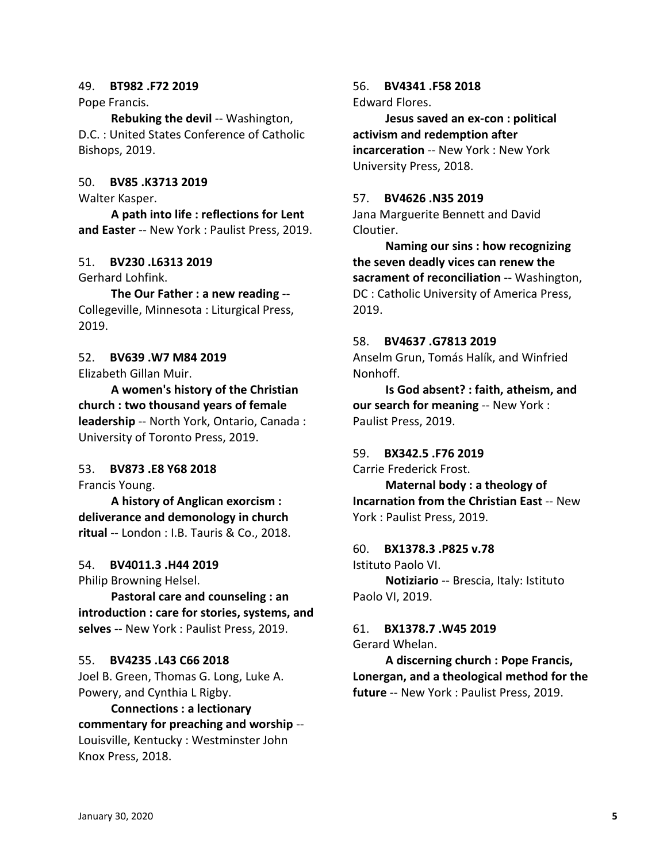#### 49. **BT982 .F72 2019**

Pope Francis.

**Rebuking the devil** -- Washington, D.C. : United States Conference of Catholic Bishops, 2019.

#### 50. **BV85 .K3713 2019**

Walter Kasper.

**A path into life : reflections for Lent and Easter** -- New York : Paulist Press, 2019.

#### 51. **BV230 .L6313 2019**

Gerhard Lohfink.

**The Our Father : a new reading** -- Collegeville, Minnesota : Liturgical Press, 2019.

#### 52. **BV639 .W7 M84 2019**

Elizabeth Gillan Muir.

**A women's history of the Christian church : two thousand years of female leadership** -- North York, Ontario, Canada : University of Toronto Press, 2019.

### 53. **BV873 .E8 Y68 2018**

Francis Young.

**A history of Anglican exorcism : deliverance and demonology in church ritual** -- London : I.B. Tauris & Co., 2018.

#### 54. **BV4011.3 .H44 2019**

Philip Browning Helsel.

**Pastoral care and counseling : an introduction : care for stories, systems, and selves** -- New York : Paulist Press, 2019.

#### 55. **BV4235 .L43 C66 2018**

Joel B. Green, Thomas G. Long, Luke A. Powery, and Cynthia L Rigby.

**Connections : a lectionary commentary for preaching and worship** -- Louisville, Kentucky : Westminster John Knox Press, 2018.

56. **BV4341 .F58 2018** Edward Flores.

**Jesus saved an ex-con : political activism and redemption after incarceration** -- New York : New York University Press, 2018.

#### 57. **BV4626 .N35 2019**

Jana Marguerite Bennett and David Cloutier.

**Naming our sins : how recognizing the seven deadly vices can renew the sacrament of reconciliation** -- Washington, DC : Catholic University of America Press, 2019.

#### 58. **BV4637 .G7813 2019**

Anselm Grun, Tomás Halík, and Winfried Nonhoff.

**Is God absent? : faith, atheism, and our search for meaning** -- New York : Paulist Press, 2019.

#### 59. **BX342.5 .F76 2019**

Carrie Frederick Frost.

**Maternal body : a theology of Incarnation from the Christian East** -- New York : Paulist Press, 2019.

#### 60. **BX1378.3 .P825 v.78**

Istituto Paolo VI.

**Notiziario** -- Brescia, Italy: Istituto Paolo VI, 2019.

61. **BX1378.7 .W45 2019** Gerard Whelan.

**A discerning church : Pope Francis, Lonergan, and a theological method for the future** -- New York : Paulist Press, 2019.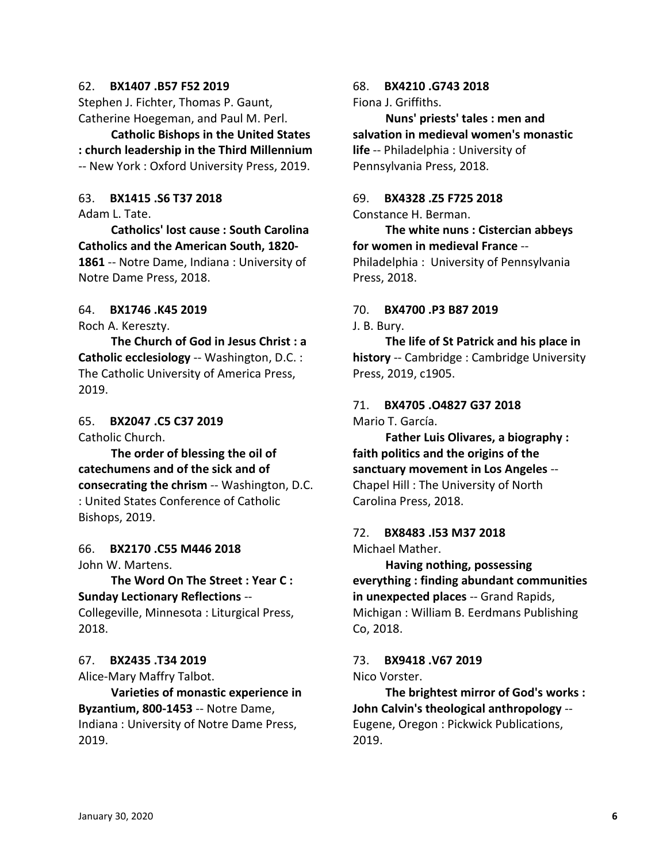#### 62. **BX1407 .B57 F52 2019**

Stephen J. Fichter, Thomas P. Gaunt, Catherine Hoegeman, and Paul M. Perl.

**Catholic Bishops in the United States : church leadership in the Third Millennium** -- New York : Oxford University Press, 2019.

## 63. **BX1415 .S6 T37 2018**

Adam L. Tate.

**Catholics' lost cause : South Carolina Catholics and the American South, 1820- 1861** -- Notre Dame, Indiana : University of Notre Dame Press, 2018.

#### 64. **BX1746 .K45 2019**

Roch A. Kereszty.

**The Church of God in Jesus Christ : a Catholic ecclesiology** -- Washington, D.C. : The Catholic University of America Press, 2019.

#### 65. **BX2047 .C5 C37 2019**

Catholic Church.

**The order of blessing the oil of catechumens and of the sick and of consecrating the chrism** -- Washington, D.C. : United States Conference of Catholic Bishops, 2019.

66. **BX2170 .C55 M446 2018** John W. Martens.

**The Word On The Street : Year C : Sunday Lectionary Reflections** --

Collegeville, Minnesota : Liturgical Press, 2018.

#### 67. **BX2435 .T34 2019**

Alice-Mary Maffry Talbot.

**Varieties of monastic experience in Byzantium, 800-1453** -- Notre Dame, Indiana : University of Notre Dame Press, 2019.

#### 68. **BX4210 .G743 2018**

Fiona J. Griffiths.

**Nuns' priests' tales : men and salvation in medieval women's monastic life** -- Philadelphia : University of Pennsylvania Press, 2018.

# 69. **BX4328 .Z5 F725 2018**

Constance H. Berman.

**The white nuns : Cistercian abbeys for women in medieval France** -- Philadelphia : University of Pennsylvania Press, 2018.

# 70. **BX4700 .P3 B87 2019**

J. B. Bury.

**The life of St Patrick and his place in history** -- Cambridge : Cambridge University Press, 2019, c1905.

# 71. **BX4705 .O4827 G37 2018**

Mario T. García.

**Father Luis Olivares, a biography : faith politics and the origins of the sanctuary movement in Los Angeles** -- Chapel Hill : The University of North Carolina Press, 2018.

#### 72. **BX8483 .I53 M37 2018** Michael Mather.

**Having nothing, possessing everything : finding abundant communities in unexpected places** -- Grand Rapids, Michigan : William B. Eerdmans Publishing Co, 2018.

#### 73. **BX9418 .V67 2019**

#### Nico Vorster.

**The brightest mirror of God's works : John Calvin's theological anthropology** -- Eugene, Oregon : Pickwick Publications, 2019.